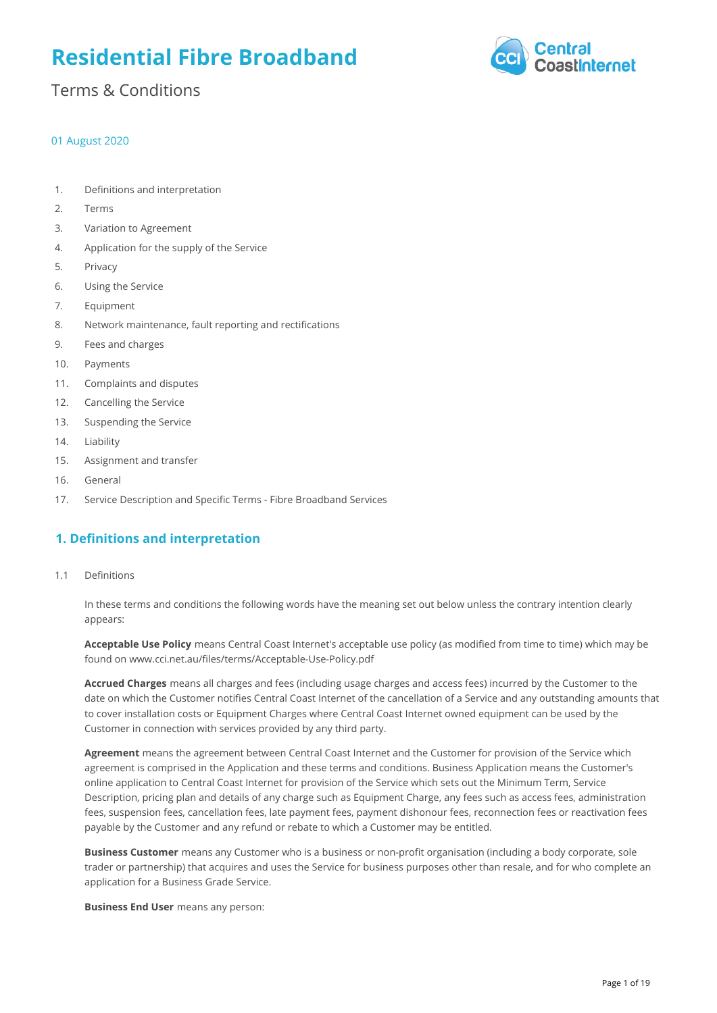# **Residential Fibre Broadband**



# Terms & Conditions

### 01 August 2020

- 1. Definitions and interpretation
- 2. Terms
- 3. Variation to Agreement
- 4. Application for the supply of the Service
- 5. Privacy
- 6. Using the Service
- 7. Equipment
- 8. Network maintenance, fault reporting and rectifications
- 9. Fees and charges
- 10. Payments
- 11. Complaints and disputes
- 12. Cancelling the Service
- 13. Suspending the Service
- 14. Liability
- 15. Assignment and transfer
- 16. General
- 17. Service Description and Specific Terms Fibre Broadband Services

# **1. Definitions and interpretation**

1.1 Definitions

In these terms and conditions the following words have the meaning set out below unless the contrary intention clearly appears:

**Acceptable Use Policy** means Central Coast Internet's acceptable use policy (as modified from time to time) which may be found on www.cci.net.au/files/terms/Acceptable-Use-Policy.pdf

**Accrued Charges** means all charges and fees (including usage charges and access fees) incurred by the Customer to the date on which the Customer notifies Central Coast Internet of the cancellation of a Service and any outstanding amounts that to cover installation costs or Equipment Charges where Central Coast Internet owned equipment can be used by the Customer in connection with services provided by any third party.

**Agreement** means the agreement between Central Coast Internet and the Customer for provision of the Service which agreement is comprised in the Application and these terms and conditions. Business Application means the Customer's online application to Central Coast Internet for provision of the Service which sets out the Minimum Term, Service Description, pricing plan and details of any charge such as Equipment Charge, any fees such as access fees, administration fees, suspension fees, cancellation fees, late payment fees, payment dishonour fees, reconnection fees or reactivation fees payable by the Customer and any refund or rebate to which a Customer may be entitled.

**Business Customer** means any Customer who is a business or non-profit organisation (including a body corporate, sole trader or partnership) that acquires and uses the Service for business purposes other than resale, and for who complete an application for a Business Grade Service.

**Business End User** means any person: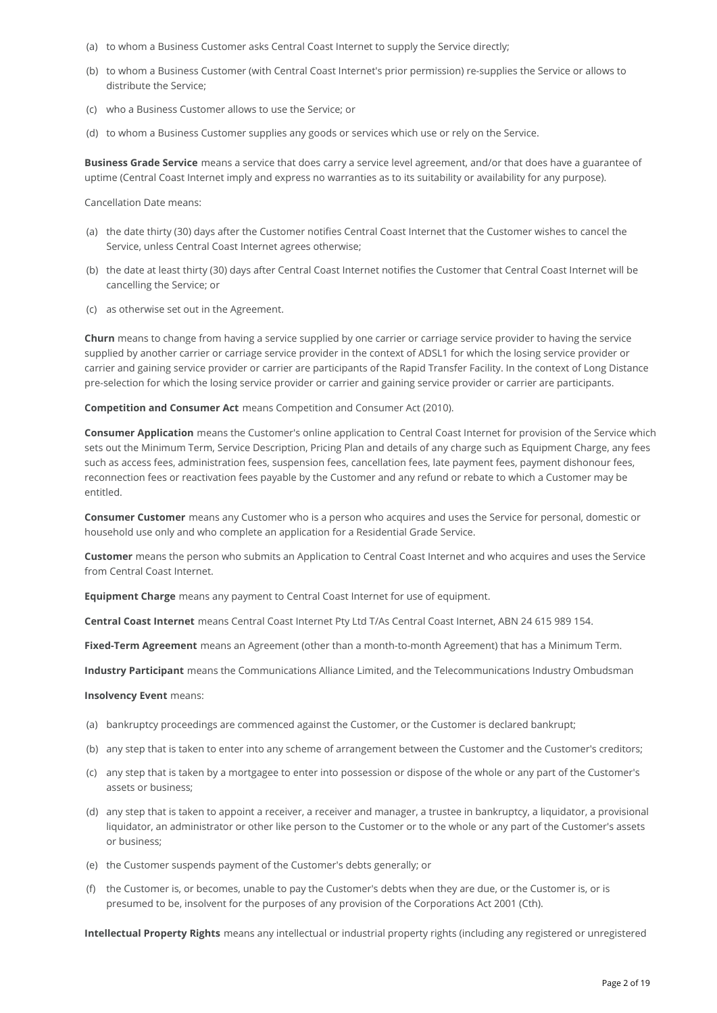- (a) to whom a Business Customer asks Central Coast Internet to supply the Service directly;
- (b) to whom a Business Customer (with Central Coast Internet's prior permission) re-supplies the Service or allows to distribute the Service;
- (c) who a Business Customer allows to use the Service; or
- (d) to whom a Business Customer supplies any goods or services which use or rely on the Service.

**Business Grade Service** means a service that does carry a service level agreement, and/or that does have a guarantee of uptime (Central Coast Internet imply and express no warranties as to its suitability or availability for any purpose).

Cancellation Date means:

- (a) the date thirty (30) days after the Customer notifies Central Coast Internet that the Customer wishes to cancel the Service, unless Central Coast Internet agrees otherwise;
- (b) the date at least thirty (30) days after Central Coast Internet notifies the Customer that Central Coast Internet will be cancelling the Service; or
- (c) as otherwise set out in the Agreement.

**Churn** means to change from having a service supplied by one carrier or carriage service provider to having the service supplied by another carrier or carriage service provider in the context of ADSL1 for which the losing service provider or carrier and gaining service provider or carrier are participants of the Rapid Transfer Facility. In the context of Long Distance pre-selection for which the losing service provider or carrier and gaining service provider or carrier are participants.

**Competition and Consumer Act** means Competition and Consumer Act (2010).

**Consumer Application** means the Customer's online application to Central Coast Internet for provision of the Service which sets out the Minimum Term, Service Description, Pricing Plan and details of any charge such as Equipment Charge, any fees such as access fees, administration fees, suspension fees, cancellation fees, late payment fees, payment dishonour fees, reconnection fees or reactivation fees payable by the Customer and any refund or rebate to which a Customer may be entitled.

**Consumer Customer** means any Customer who is a person who acquires and uses the Service for personal, domestic or household use only and who complete an application for a Residential Grade Service.

**Customer** means the person who submits an Application to Central Coast Internet and who acquires and uses the Service from Central Coast Internet.

**Equipment Charge** means any payment to Central Coast Internet for use of equipment.

**Central Coast Internet** means Central Coast Internet Pty Ltd T/As Central Coast Internet, ABN 24 615 989 154.

**Fixed-Term Agreement** means an Agreement (other than a month-to-month Agreement) that has a Minimum Term.

**Industry Participant** means the Communications Alliance Limited, and the Telecommunications Industry Ombudsman

#### **Insolvency Event** means:

- (a) bankruptcy proceedings are commenced against the Customer, or the Customer is declared bankrupt;
- (b) any step that is taken to enter into any scheme of arrangement between the Customer and the Customer's creditors;
- (c) any step that is taken by a mortgagee to enter into possession or dispose of the whole or any part of the Customer's assets or business;
- (d) any step that is taken to appoint a receiver, a receiver and manager, a trustee in bankruptcy, a liquidator, a provisional liquidator, an administrator or other like person to the Customer or to the whole or any part of the Customer's assets or business;
- (e) the Customer suspends payment of the Customer's debts generally; or
- (f) the Customer is, or becomes, unable to pay the Customer's debts when they are due, or the Customer is, or is presumed to be, insolvent for the purposes of any provision of the Corporations Act 2001 (Cth).

**Intellectual Property Rights** means any intellectual or industrial property rights (including any registered or unregistered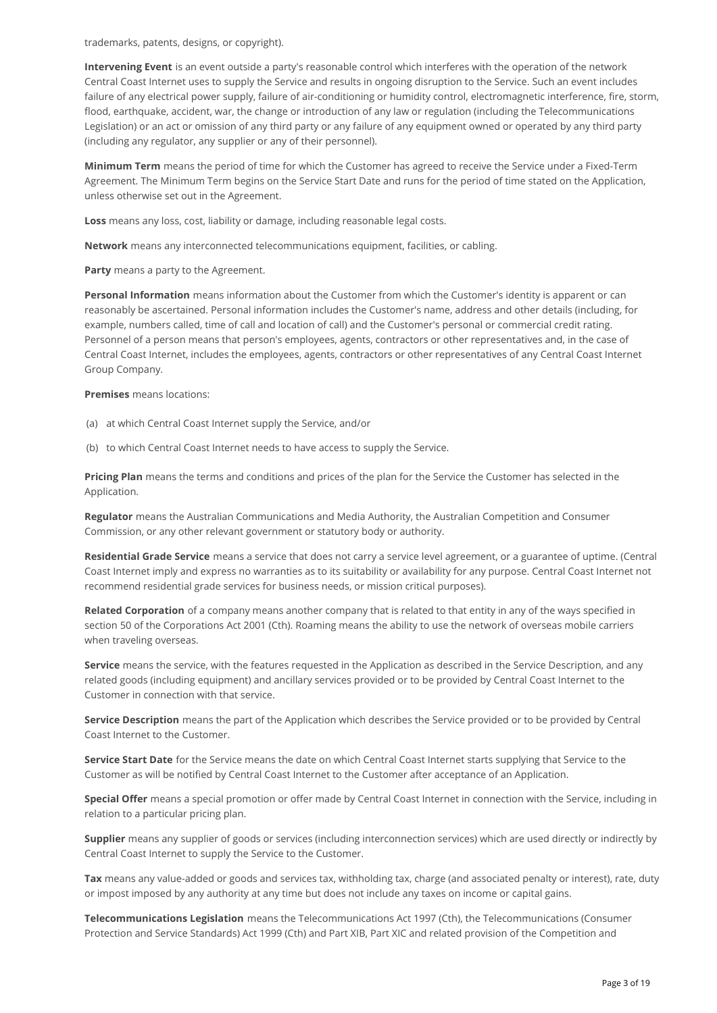trademarks, patents, designs, or copyright).

**Intervening Event** is an event outside a party's reasonable control which interferes with the operation of the network Central Coast Internet uses to supply the Service and results in ongoing disruption to the Service. Such an event includes failure of any electrical power supply, failure of air-conditioning or humidity control, electromagnetic interference, fire, storm, flood, earthquake, accident, war, the change or introduction of any law or regulation (including the Telecommunications Legislation) or an act or omission of any third party or any failure of any equipment owned or operated by any third party (including any regulator, any supplier or any of their personnel).

**Minimum Term** means the period of time for which the Customer has agreed to receive the Service under a Fixed-Term Agreement. The Minimum Term begins on the Service Start Date and runs for the period of time stated on the Application, unless otherwise set out in the Agreement.

**Loss** means any loss, cost, liability or damage, including reasonable legal costs.

**Network** means any interconnected telecommunications equipment, facilities, or cabling.

**Party** means a party to the Agreement.

**Personal Information** means information about the Customer from which the Customer's identity is apparent or can reasonably be ascertained. Personal information includes the Customer's name, address and other details (including, for example, numbers called, time of call and location of call) and the Customer's personal or commercial credit rating. Personnel of a person means that person's employees, agents, contractors or other representatives and, in the case of Central Coast Internet, includes the employees, agents, contractors or other representatives of any Central Coast Internet Group Company.

**Premises** means locations:

- (a) at which Central Coast Internet supply the Service, and/or
- (b) to which Central Coast Internet needs to have access to supply the Service.

**Pricing Plan** means the terms and conditions and prices of the plan for the Service the Customer has selected in the Application.

**Regulator** means the Australian Communications and Media Authority, the Australian Competition and Consumer Commission, or any other relevant government or statutory body or authority.

**Residential Grade Service** means a service that does not carry a service level agreement, or a guarantee of uptime. (Central Coast Internet imply and express no warranties as to its suitability or availability for any purpose. Central Coast Internet not recommend residential grade services for business needs, or mission critical purposes).

**Related Corporation** of a company means another company that is related to that entity in any of the ways specified in section 50 of the Corporations Act 2001 (Cth). Roaming means the ability to use the network of overseas mobile carriers when traveling overseas.

**Service** means the service, with the features requested in the Application as described in the Service Description, and any related goods (including equipment) and ancillary services provided or to be provided by Central Coast Internet to the Customer in connection with that service.

**Service Description** means the part of the Application which describes the Service provided or to be provided by Central Coast Internet to the Customer.

**Service Start Date** for the Service means the date on which Central Coast Internet starts supplying that Service to the Customer as will be notified by Central Coast Internet to the Customer after acceptance of an Application.

**Special Offer** means a special promotion or offer made by Central Coast Internet in connection with the Service, including in relation to a particular pricing plan.

**Supplier** means any supplier of goods or services (including interconnection services) which are used directly or indirectly by Central Coast Internet to supply the Service to the Customer.

**Tax** means any value-added or goods and services tax, withholding tax, charge (and associated penalty or interest), rate, duty or impost imposed by any authority at any time but does not include any taxes on income or capital gains.

**Telecommunications Legislation** means the Telecommunications Act 1997 (Cth), the Telecommunications (Consumer Protection and Service Standards) Act 1999 (Cth) and Part XIB, Part XIC and related provision of the Competition and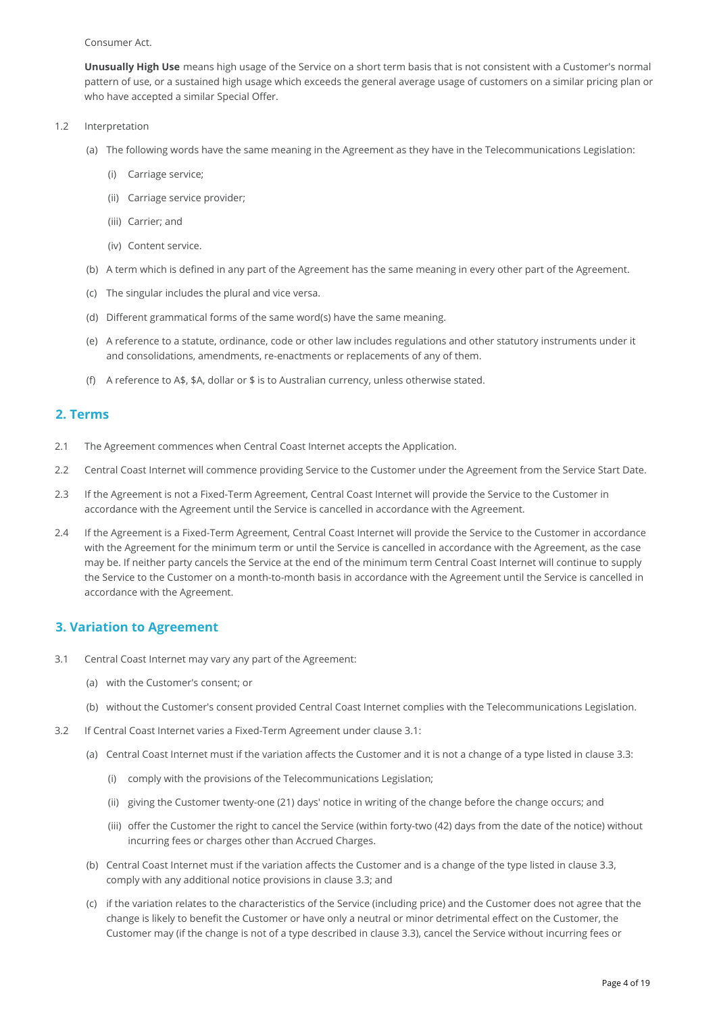Consumer Act.

**Unusually High Use** means high usage of the Service on a short term basis that is not consistent with a Customer's normal pattern of use, or a sustained high usage which exceeds the general average usage of customers on a similar pricing plan or who have accepted a similar Special Offer.

- 1.2 Interpretation
	- (a) The following words have the same meaning in the Agreement as they have in the Telecommunications Legislation:
		- (i) Carriage service;
		- (ii) Carriage service provider;
		- (iii) Carrier; and
		- (iv) Content service.
	- (b) A term which is defined in any part of the Agreement has the same meaning in every other part of the Agreement.
	- (c) The singular includes the plural and vice versa.
	- (d) Different grammatical forms of the same word(s) have the same meaning.
	- (e) A reference to a statute, ordinance, code or other law includes regulations and other statutory instruments under it and consolidations, amendments, re-enactments or replacements of any of them.
	- (f) A reference to A\$, \$A, dollar or \$ is to Australian currency, unless otherwise stated.

### **2. Terms**

- 2.1 The Agreement commences when Central Coast Internet accepts the Application.
- 2.2 Central Coast Internet will commence providing Service to the Customer under the Agreement from the Service Start Date.
- If the Agreement is not a Fixed-Term Agreement, Central Coast Internet will provide the Service to the Customer in accordance with the Agreement until the Service is cancelled in accordance with the Agreement. 2.3
- If the Agreement is a Fixed-Term Agreement, Central Coast Internet will provide the Service to the Customer in accordance with the Agreement for the minimum term or until the Service is cancelled in accordance with the Agreement, as the case may be. If neither party cancels the Service at the end of the minimum term Central Coast Internet will continue to supply the Service to the Customer on a month-to-month basis in accordance with the Agreement until the Service is cancelled in accordance with the Agreement. 2.4

### **3. Variation to Agreement**

- 3.1 Central Coast Internet may vary any part of the Agreement:
	- (a) with the Customer's consent; or
	- (b) without the Customer's consent provided Central Coast Internet complies with the Telecommunications Legislation.
- 3.2 If Central Coast Internet varies a Fixed-Term Agreement under clause 3.1:
	- (a) Central Coast Internet must if the variation affects the Customer and it is not a change of a type listed in clause 3.3:
		- (i) comply with the provisions of the Telecommunications Legislation;
		- (ii) giving the Customer twenty-one (21) days' notice in writing of the change before the change occurs; and
		- (iii) offer the Customer the right to cancel the Service (within forty-two (42) days from the date of the notice) without incurring fees or charges other than Accrued Charges.
	- Central Coast Internet must if the variation affects the Customer and is a change of the type listed in clause 3.3, (b) comply with any additional notice provisions in clause 3.3; and
	- (c) if the variation relates to the characteristics of the Service (including price) and the Customer does not agree that the change is likely to benefit the Customer or have only a neutral or minor detrimental effect on the Customer, the Customer may (if the change is not of a type described in clause 3.3), cancel the Service without incurring fees or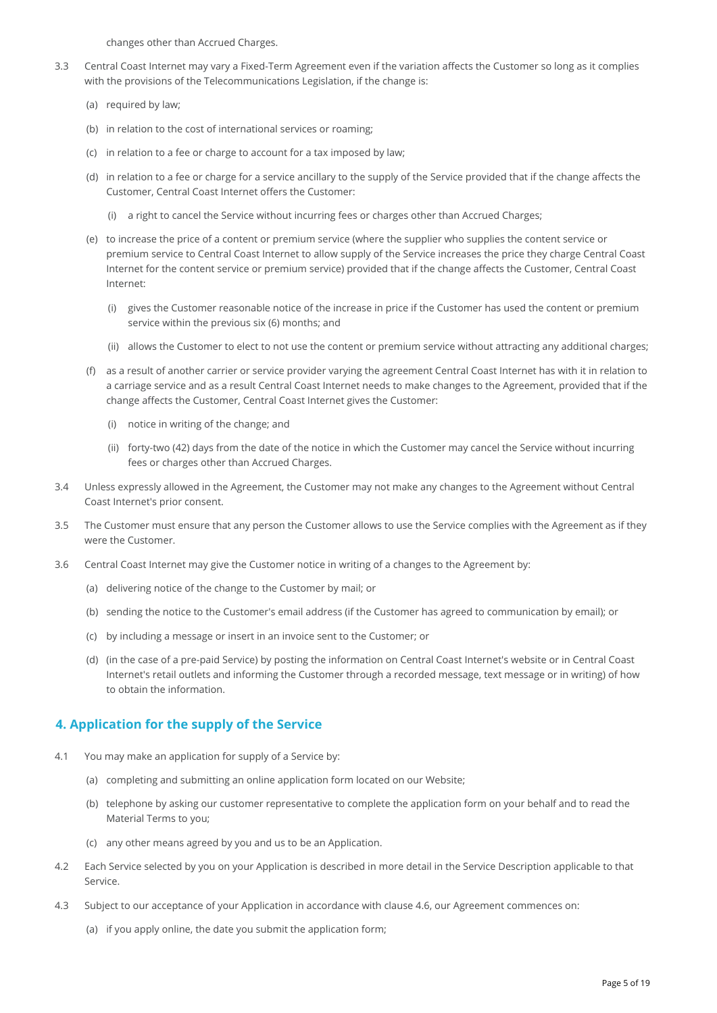changes other than Accrued Charges.

- Central Coast Internet may vary a Fixed-Term Agreement even if the variation affects the Customer so long as it complies with the provisions of the Telecommunications Legislation, if the change is: 3.3
	- (a) required by law;
	- (b) in relation to the cost of international services or roaming;
	- (c) in relation to a fee or charge to account for a tax imposed by law;
	- (d) in relation to a fee or charge for a service ancillary to the supply of the Service provided that if the change affects the Customer, Central Coast Internet offers the Customer:
		- (i) a right to cancel the Service without incurring fees or charges other than Accrued Charges;
	- (e) to increase the price of a content or premium service (where the supplier who supplies the content service or premium service to Central Coast Internet to allow supply of the Service increases the price they charge Central Coast Internet for the content service or premium service) provided that if the change affects the Customer, Central Coast Internet:
		- gives the Customer reasonable notice of the increase in price if the Customer has used the content or premium (i) service within the previous six (6) months; and
		- (ii) allows the Customer to elect to not use the content or premium service without attracting any additional charges;
	- (f) as a result of another carrier or service provider varying the agreement Central Coast Internet has with it in relation to a carriage service and as a result Central Coast Internet needs to make changes to the Agreement, provided that if the change affects the Customer, Central Coast Internet gives the Customer:
		- (i) notice in writing of the change; and
		- (ii) forty-two (42) days from the date of the notice in which the Customer may cancel the Service without incurring fees or charges other than Accrued Charges.
- Unless expressly allowed in the Agreement, the Customer may not make any changes to the Agreement without Central Coast Internet's prior consent. 3.4
- The Customer must ensure that any person the Customer allows to use the Service complies with the Agreement as if they were the Customer. 3.5
- 3.6 Central Coast Internet may give the Customer notice in writing of a changes to the Agreement by:
	- (a) delivering notice of the change to the Customer by mail; or
	- (b) sending the notice to the Customer's email address (if the Customer has agreed to communication by email); or
	- (c) by including a message or insert in an invoice sent to the Customer; or
	- (d) (in the case of a pre-paid Service) by posting the information on Central Coast Internet's website or in Central Coast Internet's retail outlets and informing the Customer through a recorded message, text message or in writing) of how to obtain the information.

# **4. Application for the supply of the Service**

- 4.1 You may make an application for supply of a Service by:
	- (a) completing and submitting an online application form located on our Website;
	- (b) telephone by asking our customer representative to complete the application form on your behalf and to read the Material Terms to you;
	- (c) any other means agreed by you and us to be an Application.
- Each Service selected by you on your Application is described in more detail in the Service Description applicable to that Service. 4.2
- 4.3 Subject to our acceptance of your Application in accordance with clause 4.6, our Agreement commences on:
	- (a) if you apply online, the date you submit the application form;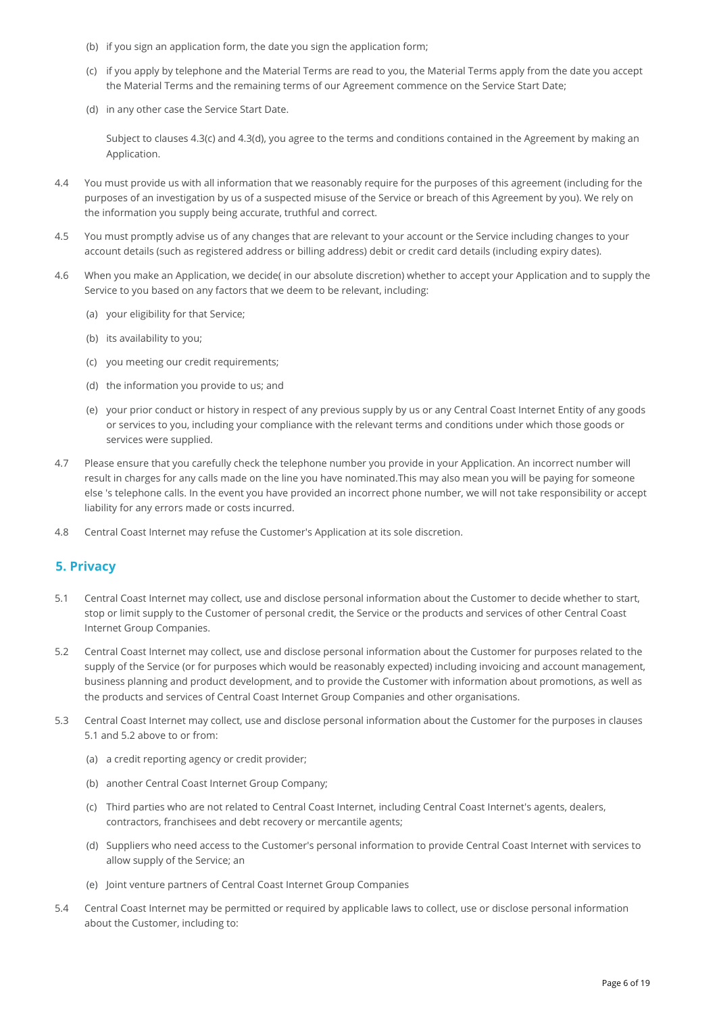- (b) if you sign an application form, the date you sign the application form;
- (c) if you apply by telephone and the Material Terms are read to you, the Material Terms apply from the date you accept the Material Terms and the remaining terms of our Agreement commence on the Service Start Date;
- (d) in any other case the Service Start Date.

Subject to clauses 4.3(c) and 4.3(d), you agree to the terms and conditions contained in the Agreement by making an Application.

- You must provide us with all information that we reasonably require for the purposes of this agreement (including for the purposes of an investigation by us of a suspected misuse of the Service or breach of this Agreement by you). We rely on the information you supply being accurate, truthful and correct. 4.4
- You must promptly advise us of any changes that are relevant to your account or the Service including changes to your account details (such as registered address or billing address) debit or credit card details (including expiry dates). 4.5
- When you make an Application, we decide( in our absolute discretion) whether to accept your Application and to supply the Service to you based on any factors that we deem to be relevant, including: 4.6
	- (a) your eligibility for that Service;
	- (b) its availability to you;
	- (c) you meeting our credit requirements;
	- (d) the information you provide to us; and
	- (e) your prior conduct or history in respect of any previous supply by us or any Central Coast Internet Entity of any goods or services to you, including your compliance with the relevant terms and conditions under which those goods or services were supplied.
- Please ensure that you carefully check the telephone number you provide in your Application. An incorrect number will result in charges for any calls made on the line you have nominated.This may also mean you will be paying for someone else 's telephone calls. In the event you have provided an incorrect phone number, we will not take responsibility or accept liability for any errors made or costs incurred. 4.7
- 4.8 Central Coast Internet may refuse the Customer's Application at its sole discretion.

### **5. Privacy**

- Central Coast Internet may collect, use and disclose personal information about the Customer to decide whether to start, stop or limit supply to the Customer of personal credit, the Service or the products and services of other Central Coast Internet Group Companies. 5.1
- Central Coast Internet may collect, use and disclose personal information about the Customer for purposes related to the supply of the Service (or for purposes which would be reasonably expected) including invoicing and account management, business planning and product development, and to provide the Customer with information about promotions, as well as the products and services of Central Coast Internet Group Companies and other organisations. 5.2
- Central Coast Internet may collect, use and disclose personal information about the Customer for the purposes in clauses 5.1 and 5.2 above to or from: 5.3
	- (a) a credit reporting agency or credit provider;
	- (b) another Central Coast Internet Group Company;
	- Third parties who are not related to Central Coast Internet, including Central Coast Internet's agents, dealers, (c) contractors, franchisees and debt recovery or mercantile agents;
	- (d) Suppliers who need access to the Customer's personal information to provide Central Coast Internet with services to allow supply of the Service; an
	- (e) Joint venture partners of Central Coast Internet Group Companies
- Central Coast Internet may be permitted or required by applicable laws to collect, use or disclose personal information about the Customer, including to: 5.4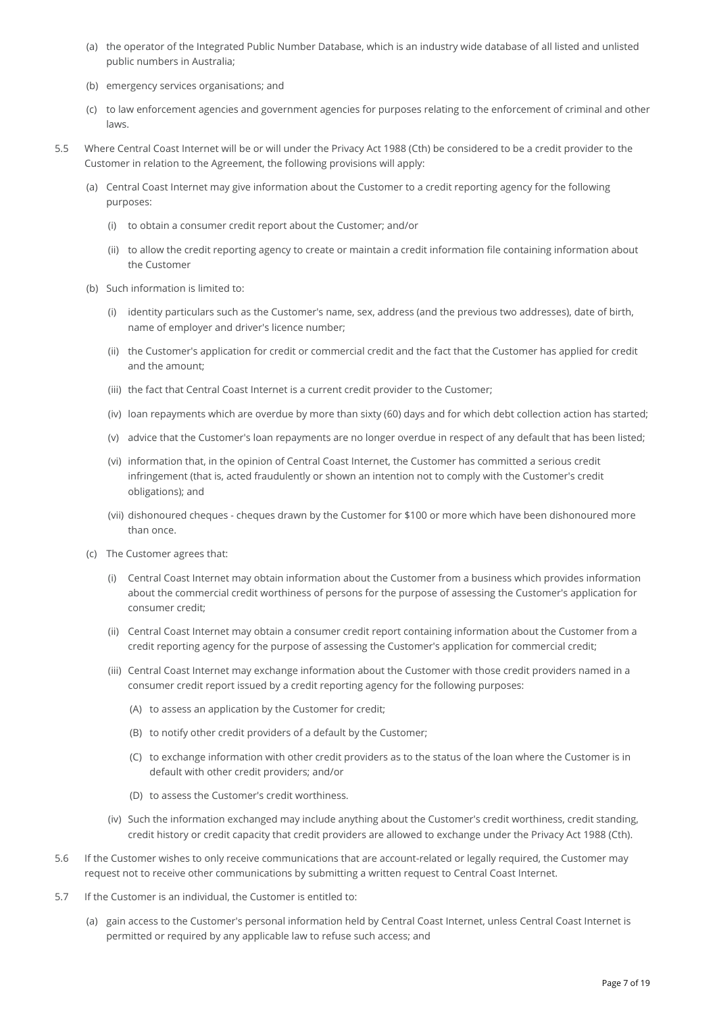- (a) the operator of the Integrated Public Number Database, which is an industry wide database of all listed and unlisted public numbers in Australia;
- (b) emergency services organisations; and
- (c) to law enforcement agencies and government agencies for purposes relating to the enforcement of criminal and other laws.
- Where Central Coast Internet will be or will under the Privacy Act 1988 (Cth) be considered to be a credit provider to the Customer in relation to the Agreement, the following provisions will apply: 5.5
	- Central Coast Internet may give information about the Customer to a credit reporting agency for the following (a) purposes:
		- (i) to obtain a consumer credit report about the Customer; and/or
		- (ii) to allow the credit reporting agency to create or maintain a credit information file containing information about the Customer
	- (b) Such information is limited to:
		- (i) identity particulars such as the Customer's name, sex, address (and the previous two addresses), date of birth, name of employer and driver's licence number;
		- (ii) the Customer's application for credit or commercial credit and the fact that the Customer has applied for credit and the amount;
		- (iii) the fact that Central Coast Internet is a current credit provider to the Customer;
		- (iv) loan repayments which are overdue by more than sixty (60) days and for which debt collection action has started;
		- (v) advice that the Customer's loan repayments are no longer overdue in respect of any default that has been listed;
		- (vi) information that, in the opinion of Central Coast Internet, the Customer has committed a serious credit infringement (that is, acted fraudulently or shown an intention not to comply with the Customer's credit obligations); and
		- (vii) dishonoured cheques cheques drawn by the Customer for \$100 or more which have been dishonoured more than once.
	- (c) The Customer agrees that:
		- Central Coast Internet may obtain information about the Customer from a business which provides information (i) about the commercial credit worthiness of persons for the purpose of assessing the Customer's application for consumer credit;
		- (ii) Central Coast Internet may obtain a consumer credit report containing information about the Customer from a credit reporting agency for the purpose of assessing the Customer's application for commercial credit;
		- (iii) Central Coast Internet may exchange information about the Customer with those credit providers named in a consumer credit report issued by a credit reporting agency for the following purposes:
			- (A) to assess an application by the Customer for credit;
			- (B) to notify other credit providers of a default by the Customer;
			- (C) to exchange information with other credit providers as to the status of the loan where the Customer is in default with other credit providers; and/or
			- (D) to assess the Customer's credit worthiness.
		- (iv) Such the information exchanged may include anything about the Customer's credit worthiness, credit standing, credit history or credit capacity that credit providers are allowed to exchange under the Privacy Act 1988 (Cth).
- If the Customer wishes to only receive communications that are account-related or legally required, the Customer may request not to receive other communications by submitting a written request to Central Coast Internet. 5.6
- 5.7 If the Customer is an individual, the Customer is entitled to:
	- (a) gain access to the Customer's personal information held by Central Coast Internet, unless Central Coast Internet is permitted or required by any applicable law to refuse such access; and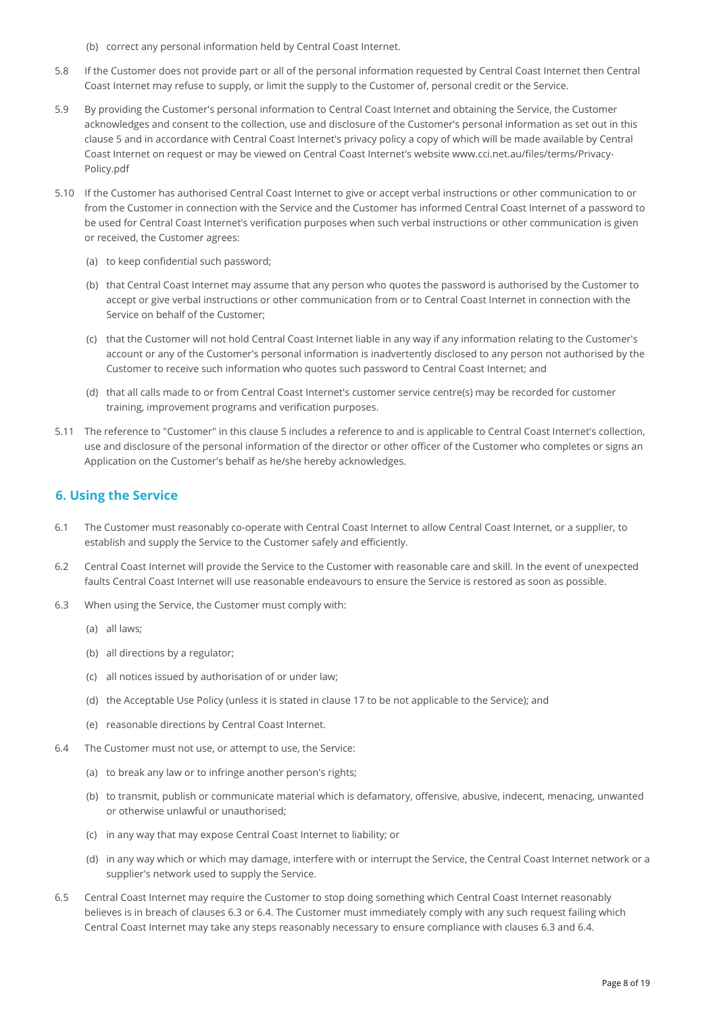- (b) correct any personal information held by Central Coast Internet.
- If the Customer does not provide part or all of the personal information requested by Central Coast Internet then Central Coast Internet may refuse to supply, or limit the supply to the Customer of, personal credit or the Service. 5.8
- By providing the Customer's personal information to Central Coast Internet and obtaining the Service, the Customer acknowledges and consent to the collection, use and disclosure of the Customer's personal information as set out in this clause 5 and in accordance with Central Coast Internet's privacy policy a copy of which will be made available by Central Coast Internet on request or may be viewed on Central Coast Internet's website www.cci.net.au/files/terms/Privacy-Policy.pdf 5.9
- 5.10 If the Customer has authorised Central Coast Internet to give or accept verbal instructions or other communication to or from the Customer in connection with the Service and the Customer has informed Central Coast Internet of a password to be used for Central Coast Internet's verification purposes when such verbal instructions or other communication is given or received, the Customer agrees:
	- (a) to keep confidential such password;
	- (b) that Central Coast Internet may assume that any person who quotes the password is authorised by the Customer to accept or give verbal instructions or other communication from or to Central Coast Internet in connection with the Service on behalf of the Customer;
	- (c) that the Customer will not hold Central Coast Internet liable in any way if any information relating to the Customer's account or any of the Customer's personal information is inadvertently disclosed to any person not authorised by the Customer to receive such information who quotes such password to Central Coast Internet; and
	- (d) that all calls made to or from Central Coast Internet's customer service centre(s) may be recorded for customer training, improvement programs and verification purposes.
- 5.11 The reference to "Customer" in this clause 5 includes a reference to and is applicable to Central Coast Internet's collection, use and disclosure of the personal information of the director or other officer of the Customer who completes or signs an Application on the Customer's behalf as he/she hereby acknowledges.

# **6. Using the Service**

- The Customer must reasonably co-operate with Central Coast Internet to allow Central Coast Internet, or a supplier, to establish and supply the Service to the Customer safely and efficiently. 6.1
- Central Coast Internet will provide the Service to the Customer with reasonable care and skill. In the event of unexpected faults Central Coast Internet will use reasonable endeavours to ensure the Service is restored as soon as possible. 6.2
- 6.3 When using the Service, the Customer must comply with:
	- (a) all laws;
	- (b) all directions by a regulator;
	- (c) all notices issued by authorisation of or under law;
	- (d) the Acceptable Use Policy (unless it is stated in clause 17 to be not applicable to the Service); and
	- (e) reasonable directions by Central Coast Internet.
- 6.4 The Customer must not use, or attempt to use, the Service:
	- (a) to break any law or to infringe another person's rights;
	- (b) to transmit, publish or communicate material which is defamatory, offensive, abusive, indecent, menacing, unwanted or otherwise unlawful or unauthorised;
	- (c) in any way that may expose Central Coast Internet to liability; or
	- (d) in any way which or which may damage, interfere with or interrupt the Service, the Central Coast Internet network or a supplier's network used to supply the Service.
- Central Coast Internet may require the Customer to stop doing something which Central Coast Internet reasonably believes is in breach of clauses 6.3 or 6.4. The Customer must immediately comply with any such request failing which Central Coast Internet may take any steps reasonably necessary to ensure compliance with clauses 6.3 and 6.4. 6.5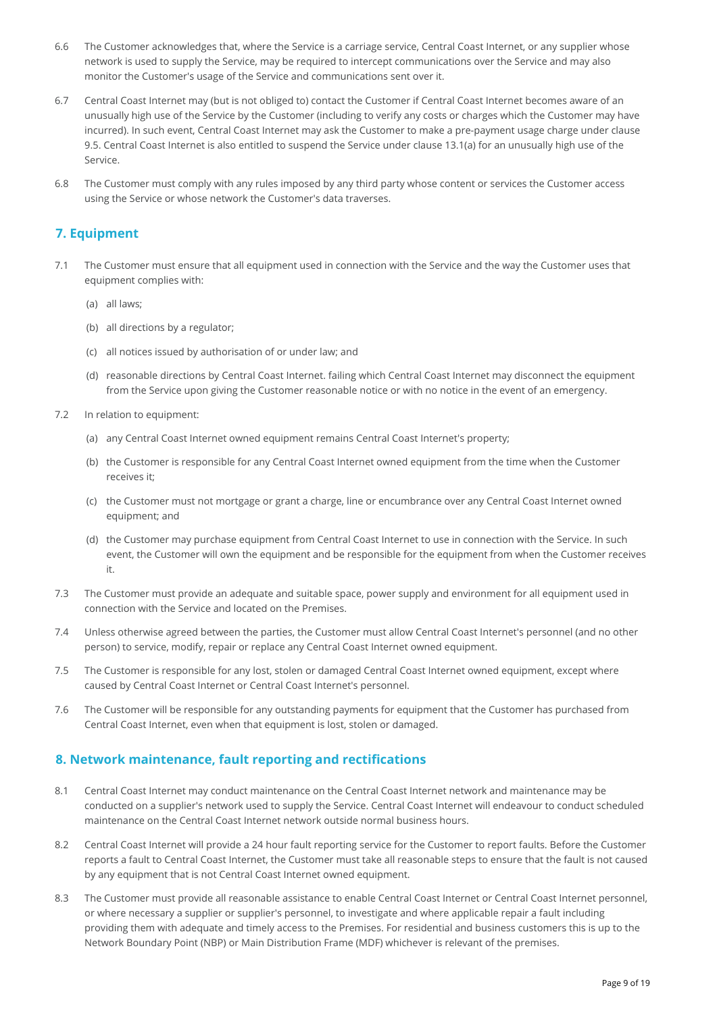- The Customer acknowledges that, where the Service is a carriage service, Central Coast Internet, or any supplier whose network is used to supply the Service, may be required to intercept communications over the Service and may also monitor the Customer's usage of the Service and communications sent over it. 6.6
- Central Coast Internet may (but is not obliged to) contact the Customer if Central Coast Internet becomes aware of an unusually high use of the Service by the Customer (including to verify any costs or charges which the Customer may have incurred). In such event, Central Coast Internet may ask the Customer to make a pre-payment usage charge under clause 9.5. Central Coast Internet is also entitled to suspend the Service under clause 13.1(a) for an unusually high use of the Service. 6.7
- The Customer must comply with any rules imposed by any third party whose content or services the Customer access using the Service or whose network the Customer's data traverses. 6.8

## **7. Equipment**

- The Customer must ensure that all equipment used in connection with the Service and the way the Customer uses that equipment complies with: 7.1
	- (a) all laws;
	- (b) all directions by a regulator;
	- (c) all notices issued by authorisation of or under law; and
	- (d) reasonable directions by Central Coast Internet. failing which Central Coast Internet may disconnect the equipment from the Service upon giving the Customer reasonable notice or with no notice in the event of an emergency.
- 7.2 In relation to equipment:
	- (a) any Central Coast Internet owned equipment remains Central Coast Internet's property;
	- (b) the Customer is responsible for any Central Coast Internet owned equipment from the time when the Customer receives it;
	- (c) the Customer must not mortgage or grant a charge, line or encumbrance over any Central Coast Internet owned equipment; and
	- (d) the Customer may purchase equipment from Central Coast Internet to use in connection with the Service. In such event, the Customer will own the equipment and be responsible for the equipment from when the Customer receives it.
- The Customer must provide an adequate and suitable space, power supply and environment for all equipment used in connection with the Service and located on the Premises. 7.3
- Unless otherwise agreed between the parties, the Customer must allow Central Coast Internet's personnel (and no other person) to service, modify, repair or replace any Central Coast Internet owned equipment. 7.4
- The Customer is responsible for any lost, stolen or damaged Central Coast Internet owned equipment, except where caused by Central Coast Internet or Central Coast Internet's personnel. 7.5
- The Customer will be responsible for any outstanding payments for equipment that the Customer has purchased from Central Coast Internet, even when that equipment is lost, stolen or damaged. 7.6

# **8. Network maintenance, fault reporting and rectifications**

- Central Coast Internet may conduct maintenance on the Central Coast Internet network and maintenance may be conducted on a supplier's network used to supply the Service. Central Coast Internet will endeavour to conduct scheduled maintenance on the Central Coast Internet network outside normal business hours. 8.1
- Central Coast Internet will provide a 24 hour fault reporting service for the Customer to report faults. Before the Customer reports a fault to Central Coast Internet, the Customer must take all reasonable steps to ensure that the fault is not caused by any equipment that is not Central Coast Internet owned equipment. 8.2
- The Customer must provide all reasonable assistance to enable Central Coast Internet or Central Coast Internet personnel, or where necessary a supplier or supplier's personnel, to investigate and where applicable repair a fault including providing them with adequate and timely access to the Premises. For residential and business customers this is up to the Network Boundary Point (NBP) or Main Distribution Frame (MDF) whichever is relevant of the premises. 8.3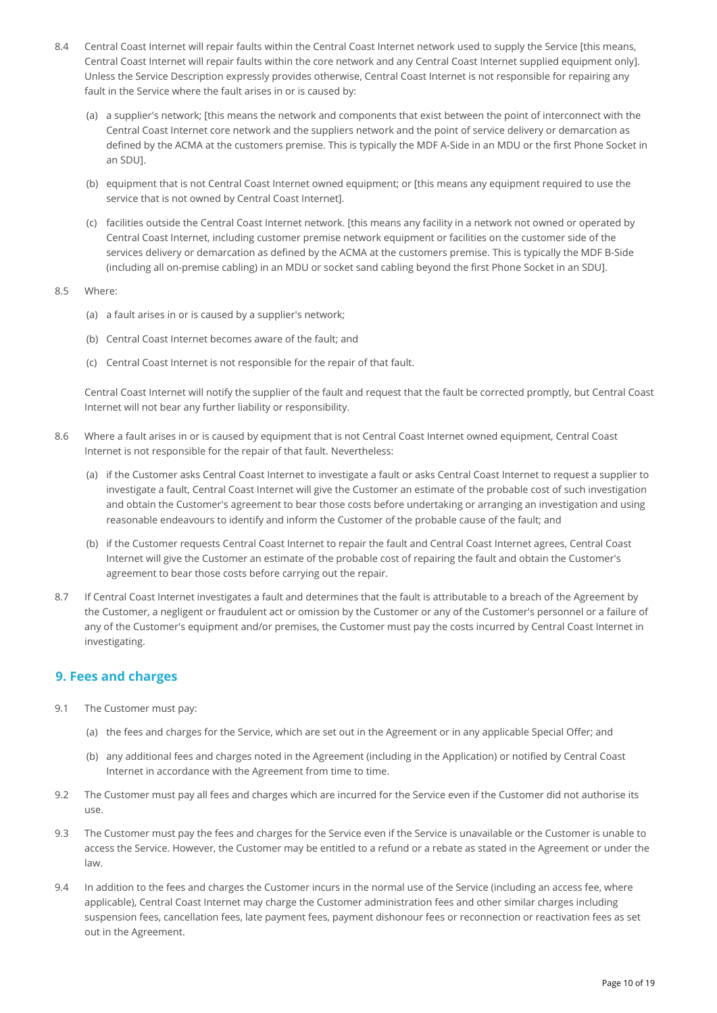- Central Coast Internet will repair faults within the Central Coast Internet network used to supply the Service [this means, Central Coast Internet will repair faults within the core network and any Central Coast Internet supplied equipment only]. Unless the Service Description expressly provides otherwise, Central Coast Internet is not responsible for repairing any fault in the Service where the fault arises in or is caused by: 8.4
	- (a) a supplier's network; [this means the network and components that exist between the point of interconnect with the Central Coast Internet core network and the suppliers network and the point of service delivery or demarcation as defined by the ACMA at the customers premise. This is typically the MDF A-Side in an MDU or the first Phone Socket in an SDU].
	- (b) equipment that is not Central Coast Internet owned equipment; or [this means any equipment required to use the service that is not owned by Central Coast Internet].
	- facilities outside the Central Coast Internet network. [this means any facility in a network not owned or operated by (c) Central Coast Internet, including customer premise network equipment or facilities on the customer side of the services delivery or demarcation as defined by the ACMA at the customers premise. This is typically the MDF B-Side (including all on-premise cabling) in an MDU or socket sand cabling beyond the first Phone Socket in an SDU].

#### 8.5 Where:

- (a) a fault arises in or is caused by a supplier's network;
- (b) Central Coast Internet becomes aware of the fault; and
- (c) Central Coast Internet is not responsible for the repair of that fault.

Central Coast Internet will notify the supplier of the fault and request that the fault be corrected promptly, but Central Coast Internet will not bear any further liability or responsibility.

- Where a fault arises in or is caused by equipment that is not Central Coast Internet owned equipment, Central Coast Internet is not responsible for the repair of that fault. Nevertheless: 8.6
	- (a) if the Customer asks Central Coast Internet to investigate a fault or asks Central Coast Internet to request a supplier to investigate a fault, Central Coast Internet will give the Customer an estimate of the probable cost of such investigation and obtain the Customer's agreement to bear those costs before undertaking or arranging an investigation and using reasonable endeavours to identify and inform the Customer of the probable cause of the fault; and
	- (b) if the Customer requests Central Coast Internet to repair the fault and Central Coast Internet agrees, Central Coast Internet will give the Customer an estimate of the probable cost of repairing the fault and obtain the Customer's agreement to bear those costs before carrying out the repair.
- If Central Coast Internet investigates a fault and determines that the fault is attributable to a breach of the Agreement by the Customer, a negligent or fraudulent act or omission by the Customer or any of the Customer's personnel or a failure of any of the Customer's equipment and/or premises, the Customer must pay the costs incurred by Central Coast Internet in investigating. 8.7

# **9. Fees and charges**

- 9.1 The Customer must pay:
	- (a) the fees and charges for the Service, which are set out in the Agreement or in any applicable Special Offer; and
	- (b) any additional fees and charges noted in the Agreement (including in the Application) or notified by Central Coast Internet in accordance with the Agreement from time to time.
- The Customer must pay all fees and charges which are incurred for the Service even if the Customer did not authorise its use. 9.2
- The Customer must pay the fees and charges for the Service even if the Service is unavailable or the Customer is unable to access the Service. However, the Customer may be entitled to a refund or a rebate as stated in the Agreement or under the law. 9.3
- In addition to the fees and charges the Customer incurs in the normal use of the Service (including an access fee, where applicable), Central Coast Internet may charge the Customer administration fees and other similar charges including suspension fees, cancellation fees, late payment fees, payment dishonour fees or reconnection or reactivation fees as set out in the Agreement. 9.4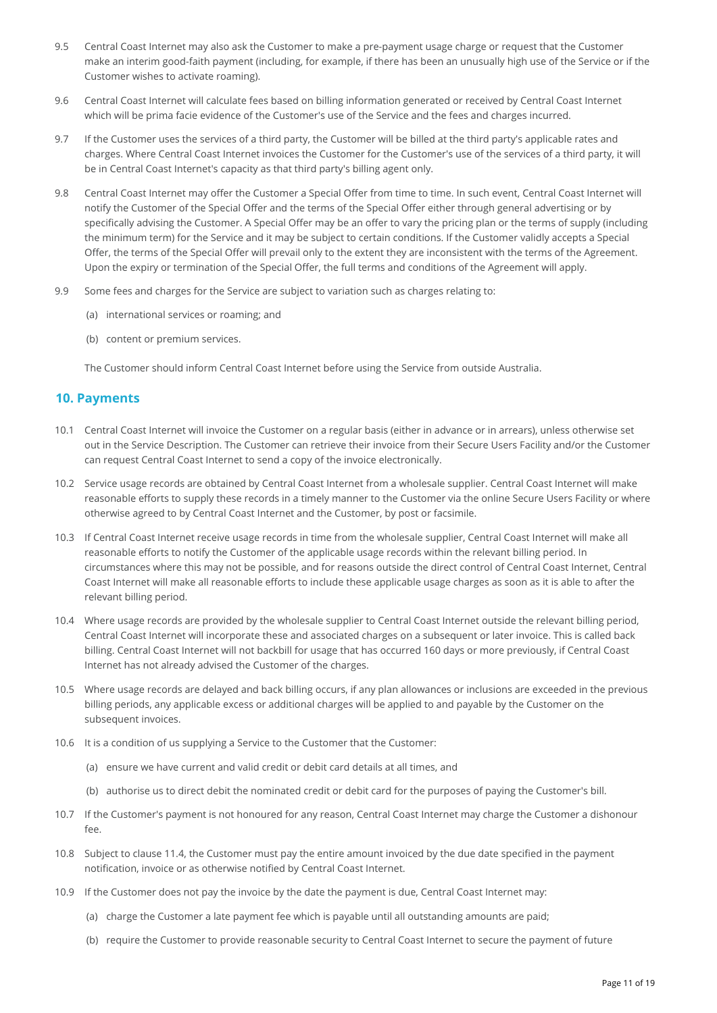- Central Coast Internet may also ask the Customer to make a pre-payment usage charge or request that the Customer make an interim good-faith payment (including, for example, if there has been an unusually high use of the Service or if the Customer wishes to activate roaming). 9.5
- Central Coast Internet will calculate fees based on billing information generated or received by Central Coast Internet which will be prima facie evidence of the Customer's use of the Service and the fees and charges incurred. 9.6
- If the Customer uses the services of a third party, the Customer will be billed at the third party's applicable rates and charges. Where Central Coast Internet invoices the Customer for the Customer's use of the services of a third party, it will be in Central Coast Internet's capacity as that third party's billing agent only. 9.7
- Central Coast Internet may offer the Customer a Special Offer from time to time. In such event, Central Coast Internet will notify the Customer of the Special Offer and the terms of the Special Offer either through general advertising or by specifically advising the Customer. A Special Offer may be an offer to vary the pricing plan or the terms of supply (including the minimum term) for the Service and it may be subject to certain conditions. If the Customer validly accepts a Special Offer, the terms of the Special Offer will prevail only to the extent they are inconsistent with the terms of the Agreement. Upon the expiry or termination of the Special Offer, the full terms and conditions of the Agreement will apply. 9.8
- 9.9 Some fees and charges for the Service are subject to variation such as charges relating to:
	- (a) international services or roaming; and
	- (b) content or premium services.

The Customer should inform Central Coast Internet before using the Service from outside Australia.

### **10. Payments**

- 10.1 Central Coast Internet will invoice the Customer on a regular basis (either in advance or in arrears), unless otherwise set out in the Service Description. The Customer can retrieve their invoice from their Secure Users Facility and/or the Customer can request Central Coast Internet to send a copy of the invoice electronically.
- 10.2 Service usage records are obtained by Central Coast Internet from a wholesale supplier. Central Coast Internet will make reasonable efforts to supply these records in a timely manner to the Customer via the online Secure Users Facility or where otherwise agreed to by Central Coast Internet and the Customer, by post or facsimile.
- 10.3 If Central Coast Internet receive usage records in time from the wholesale supplier, Central Coast Internet will make all reasonable efforts to notify the Customer of the applicable usage records within the relevant billing period. In circumstances where this may not be possible, and for reasons outside the direct control of Central Coast Internet, Central Coast Internet will make all reasonable efforts to include these applicable usage charges as soon as it is able to after the relevant billing period.
- 10.4 Where usage records are provided by the wholesale supplier to Central Coast Internet outside the relevant billing period, Central Coast Internet will incorporate these and associated charges on a subsequent or later invoice. This is called back billing. Central Coast Internet will not backbill for usage that has occurred 160 days or more previously, if Central Coast Internet has not already advised the Customer of the charges.
- 10.5 Where usage records are delayed and back billing occurs, if any plan allowances or inclusions are exceeded in the previous billing periods, any applicable excess or additional charges will be applied to and payable by the Customer on the subsequent invoices.
- 10.6 It is a condition of us supplying a Service to the Customer that the Customer:
	- (a) ensure we have current and valid credit or debit card details at all times, and
	- (b) authorise us to direct debit the nominated credit or debit card for the purposes of paying the Customer's bill.
- 10.7 If the Customer's payment is not honoured for any reason, Central Coast Internet may charge the Customer a dishonour fee.
- 10.8 Subject to clause 11.4, the Customer must pay the entire amount invoiced by the due date specified in the payment notification, invoice or as otherwise notified by Central Coast Internet.
- 10.9 If the Customer does not pay the invoice by the date the payment is due, Central Coast Internet may:
	- (a) charge the Customer a late payment fee which is payable until all outstanding amounts are paid;
	- (b) require the Customer to provide reasonable security to Central Coast Internet to secure the payment of future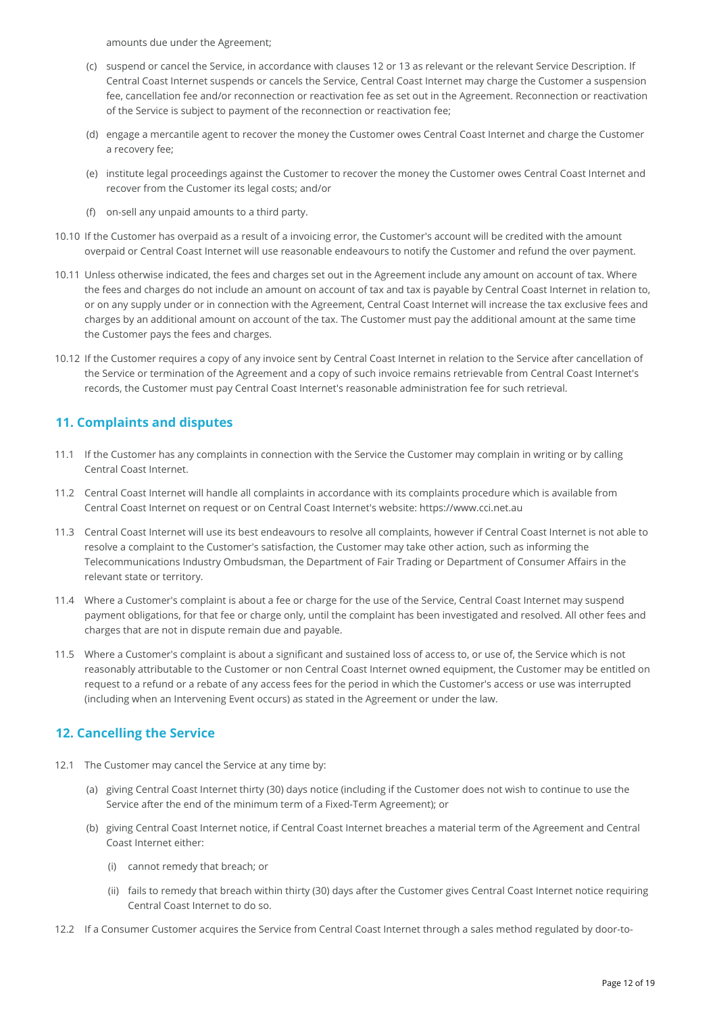amounts due under the Agreement;

- (c) suspend or cancel the Service, in accordance with clauses 12 or 13 as relevant or the relevant Service Description. If Central Coast Internet suspends or cancels the Service, Central Coast Internet may charge the Customer a suspension fee, cancellation fee and/or reconnection or reactivation fee as set out in the Agreement. Reconnection or reactivation of the Service is subject to payment of the reconnection or reactivation fee;
- (d) engage a mercantile agent to recover the money the Customer owes Central Coast Internet and charge the Customer a recovery fee;
- (e) institute legal proceedings against the Customer to recover the money the Customer owes Central Coast Internet and recover from the Customer its legal costs; and/or
- (f) on-sell any unpaid amounts to a third party.
- 10.10 If the Customer has overpaid as a result of a invoicing error, the Customer's account will be credited with the amount overpaid or Central Coast Internet will use reasonable endeavours to notify the Customer and refund the over payment.
- 10.11 Unless otherwise indicated, the fees and charges set out in the Agreement include any amount on account of tax. Where the fees and charges do not include an amount on account of tax and tax is payable by Central Coast Internet in relation to, or on any supply under or in connection with the Agreement, Central Coast Internet will increase the tax exclusive fees and charges by an additional amount on account of the tax. The Customer must pay the additional amount at the same time the Customer pays the fees and charges.
- 10.12 If the Customer requires a copy of any invoice sent by Central Coast Internet in relation to the Service after cancellation of the Service or termination of the Agreement and a copy of such invoice remains retrievable from Central Coast Internet's records, the Customer must pay Central Coast Internet's reasonable administration fee for such retrieval.

# **11. Complaints and disputes**

- If the Customer has any complaints in connection with the Service the Customer may complain in writing or by calling 11.1 Central Coast Internet.
- 11.2 Central Coast Internet will handle all complaints in accordance with its complaints procedure which is available from Central Coast Internet on request or on Central Coast Internet's website: https://www.cci.net.au
- 11.3 Central Coast Internet will use its best endeavours to resolve all complaints, however if Central Coast Internet is not able to resolve a complaint to the Customer's satisfaction, the Customer may take other action, such as informing the Telecommunications Industry Ombudsman, the Department of Fair Trading or Department of Consumer Affairs in the relevant state or territory.
- 11.4 Where a Customer's complaint is about a fee or charge for the use of the Service, Central Coast Internet may suspend payment obligations, for that fee or charge only, until the complaint has been investigated and resolved. All other fees and charges that are not in dispute remain due and payable.
- 11.5 Where a Customer's complaint is about a significant and sustained loss of access to, or use of, the Service which is not reasonably attributable to the Customer or non Central Coast Internet owned equipment, the Customer may be entitled on request to a refund or a rebate of any access fees for the period in which the Customer's access or use was interrupted (including when an Intervening Event occurs) as stated in the Agreement or under the law.

# **12. Cancelling the Service**

- 12.1 The Customer may cancel the Service at any time by:
	- giving Central Coast Internet thirty (30) days notice (including if the Customer does not wish to continue to use the (a) Service after the end of the minimum term of a Fixed-Term Agreement); or
	- (b) giving Central Coast Internet notice, if Central Coast Internet breaches a material term of the Agreement and Central Coast Internet either:
		- (i) cannot remedy that breach; or
		- (ii) fails to remedy that breach within thirty (30) days after the Customer gives Central Coast Internet notice requiring Central Coast Internet to do so.
- 12.2 If a Consumer Customer acquires the Service from Central Coast Internet through a sales method regulated by door-to-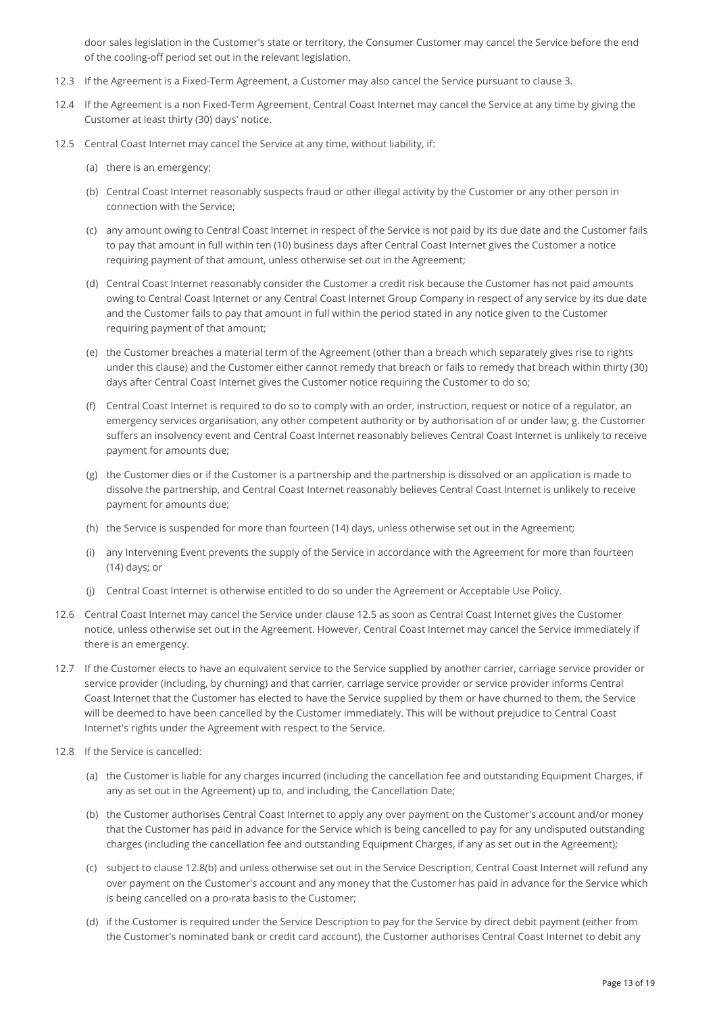door sales legislation in the Customer's state or territory, the Consumer Customer may cancel the Service before the end of the cooling-off period set out in the relevant legislation.

- 12.3 If the Agreement is a Fixed-Term Agreement, a Customer may also cancel the Service pursuant to clause 3.
- 12.4 If the Agreement is a non Fixed-Term Agreement, Central Coast Internet may cancel the Service at any time by giving the Customer at least thirty (30) days' notice.
- 12.5 Central Coast Internet may cancel the Service at any time, without liability, if:
	- (a) there is an emergency;
	- Central Coast Internet reasonably suspects fraud or other illegal activity by the Customer or any other person in (b) connection with the Service;
	- (c) any amount owing to Central Coast Internet in respect of the Service is not paid by its due date and the Customer fails to pay that amount in full within ten (10) business days after Central Coast Internet gives the Customer a notice requiring payment of that amount, unless otherwise set out in the Agreement;
	- (d) Central Coast Internet reasonably consider the Customer a credit risk because the Customer has not paid amounts owing to Central Coast Internet or any Central Coast Internet Group Company in respect of any service by its due date and the Customer fails to pay that amount in full within the period stated in any notice given to the Customer requiring payment of that amount;
	- (e) the Customer breaches a material term of the Agreement (other than a breach which separately gives rise to rights under this clause) and the Customer either cannot remedy that breach or fails to remedy that breach within thirty (30) days after Central Coast Internet gives the Customer notice requiring the Customer to do so;
	- Central Coast Internet is required to do so to comply with an order, instruction, request or notice of a regulator, an (f) emergency services organisation, any other competent authority or by authorisation of or under law; g. the Customer suffers an insolvency event and Central Coast Internet reasonably believes Central Coast Internet is unlikely to receive payment for amounts due;
	- (g) the Customer dies or if the Customer is a partnership and the partnership is dissolved or an application is made to dissolve the partnership, and Central Coast Internet reasonably believes Central Coast Internet is unlikely to receive payment for amounts due;
	- (h) the Service is suspended for more than fourteen (14) days, unless otherwise set out in the Agreement;
	- (i) any Intervening Event prevents the supply of the Service in accordance with the Agreement for more than fourteen (14) days; or
	- (j) Central Coast Internet is otherwise entitled to do so under the Agreement or Acceptable Use Policy.
- 12.6 Central Coast Internet may cancel the Service under clause 12.5 as soon as Central Coast Internet gives the Customer notice, unless otherwise set out in the Agreement. However, Central Coast Internet may cancel the Service immediately if there is an emergency.
- 12.7 If the Customer elects to have an equivalent service to the Service supplied by another carrier, carriage service provider or service provider (including, by churning) and that carrier, carriage service provider or service provider informs Central Coast Internet that the Customer has elected to have the Service supplied by them or have churned to them, the Service will be deemed to have been cancelled by the Customer immediately. This will be without prejudice to Central Coast Internet's rights under the Agreement with respect to the Service.
- 12.8 If the Service is cancelled:
	- (a) the Customer is liable for any charges incurred (including the cancellation fee and outstanding Equipment Charges, if any as set out in the Agreement) up to, and including, the Cancellation Date;
	- (b) the Customer authorises Central Coast Internet to apply any over payment on the Customer's account and/or money that the Customer has paid in advance for the Service which is being cancelled to pay for any undisputed outstanding charges (including the cancellation fee and outstanding Equipment Charges, if any as set out in the Agreement);
	- (c) subject to clause 12.8(b) and unless otherwise set out in the Service Description, Central Coast Internet will refund any over payment on the Customer's account and any money that the Customer has paid in advance for the Service which is being cancelled on a pro-rata basis to the Customer;
	- (d) if the Customer is required under the Service Description to pay for the Service by direct debit payment (either from the Customer's nominated bank or credit card account), the Customer authorises Central Coast Internet to debit any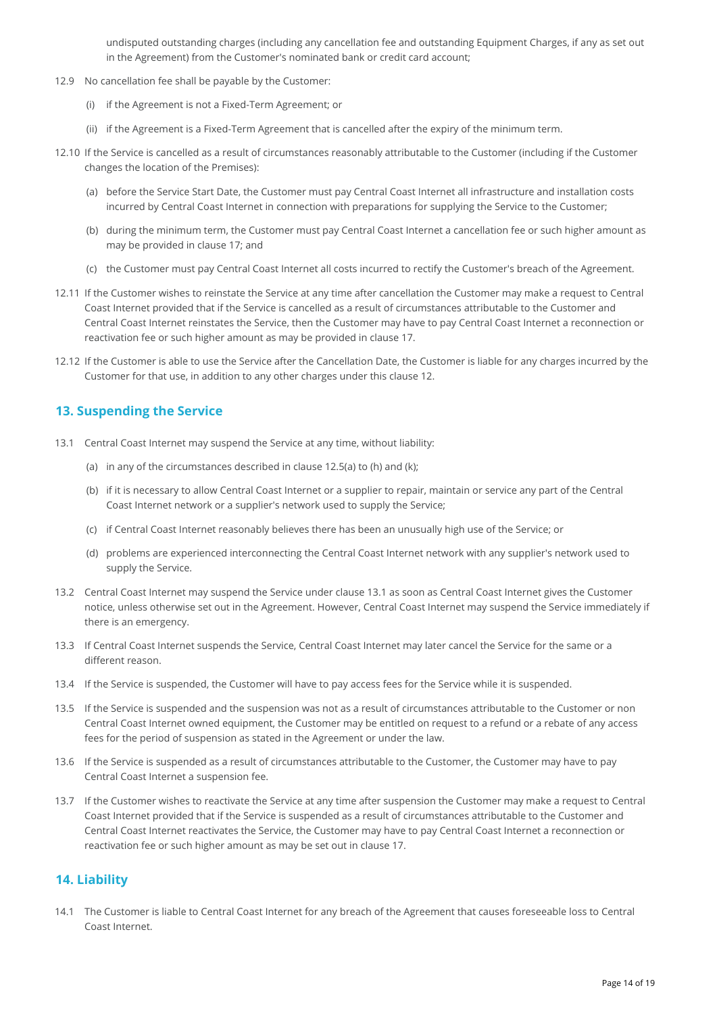undisputed outstanding charges (including any cancellation fee and outstanding Equipment Charges, if any as set out in the Agreement) from the Customer's nominated bank or credit card account;

- 12.9 No cancellation fee shall be payable by the Customer:
	- (i) if the Agreement is not a Fixed-Term Agreement; or
	- (ii) if the Agreement is a Fixed-Term Agreement that is cancelled after the expiry of the minimum term.
- 12.10 If the Service is cancelled as a result of circumstances reasonably attributable to the Customer (including if the Customer changes the location of the Premises):
	- before the Service Start Date, the Customer must pay Central Coast Internet all infrastructure and installation costs (a) incurred by Central Coast Internet in connection with preparations for supplying the Service to the Customer;
	- (b) during the minimum term, the Customer must pay Central Coast Internet a cancellation fee or such higher amount as may be provided in clause 17; and
	- (c) the Customer must pay Central Coast Internet all costs incurred to rectify the Customer's breach of the Agreement.
- 12.11 If the Customer wishes to reinstate the Service at any time after cancellation the Customer may make a request to Central Coast Internet provided that if the Service is cancelled as a result of circumstances attributable to the Customer and Central Coast Internet reinstates the Service, then the Customer may have to pay Central Coast Internet a reconnection or reactivation fee or such higher amount as may be provided in clause 17.
- 12.12 If the Customer is able to use the Service after the Cancellation Date, the Customer is liable for any charges incurred by the Customer for that use, in addition to any other charges under this clause 12.

### **13. Suspending the Service**

- 13.1 Central Coast Internet may suspend the Service at any time, without liability:
	- (a) in any of the circumstances described in clause 12.5(a) to (h) and (k);
	- (b) if it is necessary to allow Central Coast Internet or a supplier to repair, maintain or service any part of the Central Coast Internet network or a supplier's network used to supply the Service;
	- (c) if Central Coast Internet reasonably believes there has been an unusually high use of the Service; or
	- (d) problems are experienced interconnecting the Central Coast Internet network with any supplier's network used to supply the Service.
- 13.2 Central Coast Internet may suspend the Service under clause 13.1 as soon as Central Coast Internet gives the Customer notice, unless otherwise set out in the Agreement. However, Central Coast Internet may suspend the Service immediately if there is an emergency.
- 13.3 If Central Coast Internet suspends the Service, Central Coast Internet may later cancel the Service for the same or a different reason.
- 13.4 If the Service is suspended, the Customer will have to pay access fees for the Service while it is suspended.
- 13.5 If the Service is suspended and the suspension was not as a result of circumstances attributable to the Customer or non Central Coast Internet owned equipment, the Customer may be entitled on request to a refund or a rebate of any access fees for the period of suspension as stated in the Agreement or under the law.
- 13.6 If the Service is suspended as a result of circumstances attributable to the Customer, the Customer may have to pay Central Coast Internet a suspension fee.
- 13.7 If the Customer wishes to reactivate the Service at any time after suspension the Customer may make a request to Central Coast Internet provided that if the Service is suspended as a result of circumstances attributable to the Customer and Central Coast Internet reactivates the Service, the Customer may have to pay Central Coast Internet a reconnection or reactivation fee or such higher amount as may be set out in clause 17.

### **14. Liability**

14.1 The Customer is liable to Central Coast Internet for any breach of the Agreement that causes foreseeable loss to Central Coast Internet.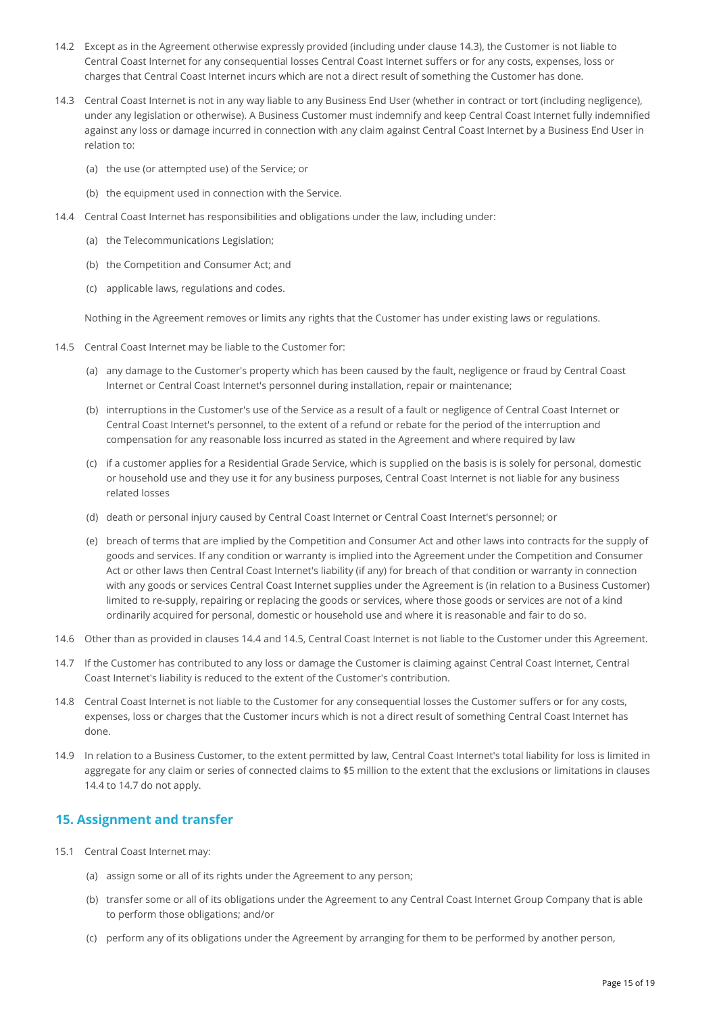- 14.2 Except as in the Agreement otherwise expressly provided (including under clause 14.3), the Customer is not liable to Central Coast Internet for any consequential losses Central Coast Internet suffers or for any costs, expenses, loss or charges that Central Coast Internet incurs which are not a direct result of something the Customer has done.
- 14.3 Central Coast Internet is not in any way liable to any Business End User (whether in contract or tort (including negligence), under any legislation or otherwise). A Business Customer must indemnify and keep Central Coast Internet fully indemnified against any loss or damage incurred in connection with any claim against Central Coast Internet by a Business End User in relation to:
	- (a) the use (or attempted use) of the Service; or
	- (b) the equipment used in connection with the Service.
- 14.4 Central Coast Internet has responsibilities and obligations under the law, including under:
	- (a) the Telecommunications Legislation;
	- (b) the Competition and Consumer Act; and
	- (c) applicable laws, regulations and codes.

Nothing in the Agreement removes or limits any rights that the Customer has under existing laws or regulations.

- 14.5 Central Coast Internet may be liable to the Customer for:
	- (a) any damage to the Customer's property which has been caused by the fault, negligence or fraud by Central Coast Internet or Central Coast Internet's personnel during installation, repair or maintenance;
	- (b) interruptions in the Customer's use of the Service as a result of a fault or negligence of Central Coast Internet or Central Coast Internet's personnel, to the extent of a refund or rebate for the period of the interruption and compensation for any reasonable loss incurred as stated in the Agreement and where required by law
	- (c) if a customer applies for a Residential Grade Service, which is supplied on the basis is is solely for personal, domestic or household use and they use it for any business purposes, Central Coast Internet is not liable for any business related losses
	- (d) death or personal injury caused by Central Coast Internet or Central Coast Internet's personnel; or
	- (e) breach of terms that are implied by the Competition and Consumer Act and other laws into contracts for the supply of goods and services. If any condition or warranty is implied into the Agreement under the Competition and Consumer Act or other laws then Central Coast Internet's liability (if any) for breach of that condition or warranty in connection with any goods or services Central Coast Internet supplies under the Agreement is (in relation to a Business Customer) limited to re-supply, repairing or replacing the goods or services, where those goods or services are not of a kind ordinarily acquired for personal, domestic or household use and where it is reasonable and fair to do so.
- 14.6 Other than as provided in clauses 14.4 and 14.5, Central Coast Internet is not liable to the Customer under this Agreement.
- 14.7 If the Customer has contributed to any loss or damage the Customer is claiming against Central Coast Internet, Central Coast Internet's liability is reduced to the extent of the Customer's contribution.
- 14.8 Central Coast Internet is not liable to the Customer for any consequential losses the Customer suffers or for any costs, expenses, loss or charges that the Customer incurs which is not a direct result of something Central Coast Internet has done.
- 14.9 In relation to a Business Customer, to the extent permitted by law, Central Coast Internet's total liability for loss is limited in aggregate for any claim or series of connected claims to \$5 million to the extent that the exclusions or limitations in clauses 14.4 to 14.7 do not apply.

# **15. Assignment and transfer**

- 15.1 Central Coast Internet may:
	- (a) assign some or all of its rights under the Agreement to any person;
	- (b) transfer some or all of its obligations under the Agreement to any Central Coast Internet Group Company that is able to perform those obligations; and/or
	- (c) perform any of its obligations under the Agreement by arranging for them to be performed by another person,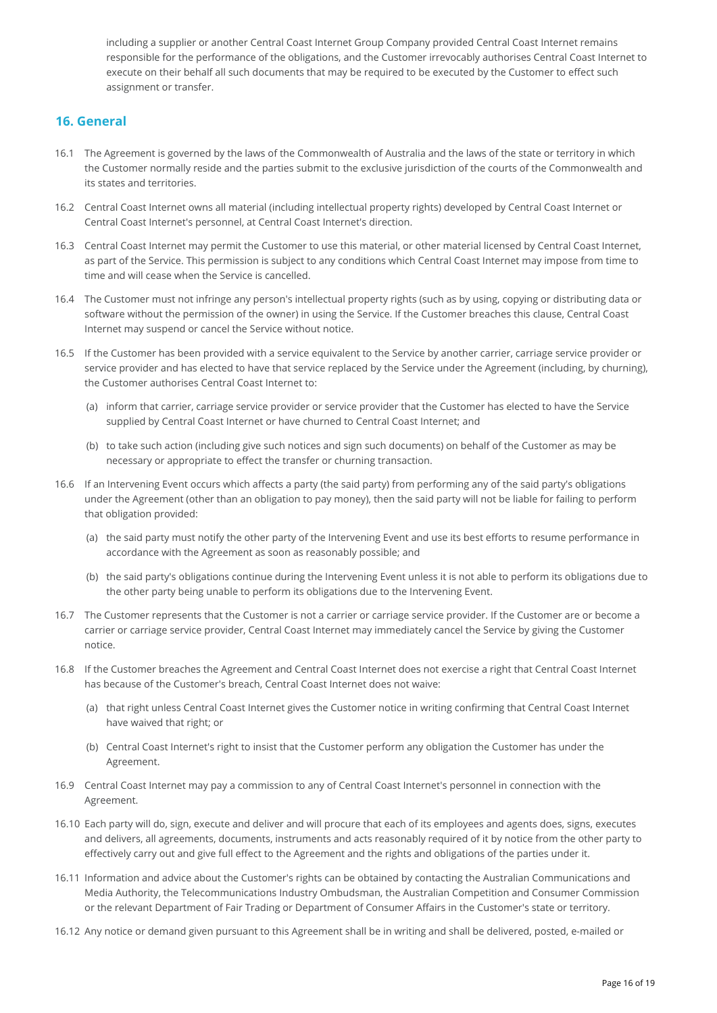including a supplier or another Central Coast Internet Group Company provided Central Coast Internet remains responsible for the performance of the obligations, and the Customer irrevocably authorises Central Coast Internet to execute on their behalf all such documents that may be required to be executed by the Customer to effect such assignment or transfer.

### **16. General**

- The Agreement is governed by the laws of the Commonwealth of Australia and the laws of the state or territory in which 16.1 the Customer normally reside and the parties submit to the exclusive jurisdiction of the courts of the Commonwealth and its states and territories.
- 16.2 Central Coast Internet owns all material (including intellectual property rights) developed by Central Coast Internet or Central Coast Internet's personnel, at Central Coast Internet's direction.
- 16.3 Central Coast Internet may permit the Customer to use this material, or other material licensed by Central Coast Internet, as part of the Service. This permission is subject to any conditions which Central Coast Internet may impose from time to time and will cease when the Service is cancelled.
- 16.4 The Customer must not infringe any person's intellectual property rights (such as by using, copying or distributing data or software without the permission of the owner) in using the Service. If the Customer breaches this clause, Central Coast Internet may suspend or cancel the Service without notice.
- If the Customer has been provided with a service equivalent to the Service by another carrier, carriage service provider or 16.5 service provider and has elected to have that service replaced by the Service under the Agreement (including, by churning), the Customer authorises Central Coast Internet to:
	- (a) inform that carrier, carriage service provider or service provider that the Customer has elected to have the Service supplied by Central Coast Internet or have churned to Central Coast Internet; and
	- (b) to take such action (including give such notices and sign such documents) on behalf of the Customer as may be necessary or appropriate to effect the transfer or churning transaction.
- 16.6 If an Intervening Event occurs which affects a party (the said party) from performing any of the said party's obligations under the Agreement (other than an obligation to pay money), then the said party will not be liable for failing to perform that obligation provided:
	- (a) the said party must notify the other party of the Intervening Event and use its best efforts to resume performance in accordance with the Agreement as soon as reasonably possible; and
	- (b) the said party's obligations continue during the Intervening Event unless it is not able to perform its obligations due to the other party being unable to perform its obligations due to the Intervening Event.
- 16.7 The Customer represents that the Customer is not a carrier or carriage service provider. If the Customer are or become a carrier or carriage service provider, Central Coast Internet may immediately cancel the Service by giving the Customer notice.
- 16.8 If the Customer breaches the Agreement and Central Coast Internet does not exercise a right that Central Coast Internet has because of the Customer's breach, Central Coast Internet does not waive:
	- (a) that right unless Central Coast Internet gives the Customer notice in writing confirming that Central Coast Internet have waived that right; or
	- (b) Central Coast Internet's right to insist that the Customer perform any obligation the Customer has under the Agreement.
- 16.9 Central Coast Internet may pay a commission to any of Central Coast Internet's personnel in connection with the Agreement.
- 16.10 Each party will do, sign, execute and deliver and will procure that each of its employees and agents does, signs, executes and delivers, all agreements, documents, instruments and acts reasonably required of it by notice from the other party to effectively carry out and give full effect to the Agreement and the rights and obligations of the parties under it.
- 16.11 Information and advice about the Customer's rights can be obtained by contacting the Australian Communications and Media Authority, the Telecommunications Industry Ombudsman, the Australian Competition and Consumer Commission or the relevant Department of Fair Trading or Department of Consumer Affairs in the Customer's state or territory.
- 16.12 Any notice or demand given pursuant to this Agreement shall be in writing and shall be delivered, posted, e-mailed or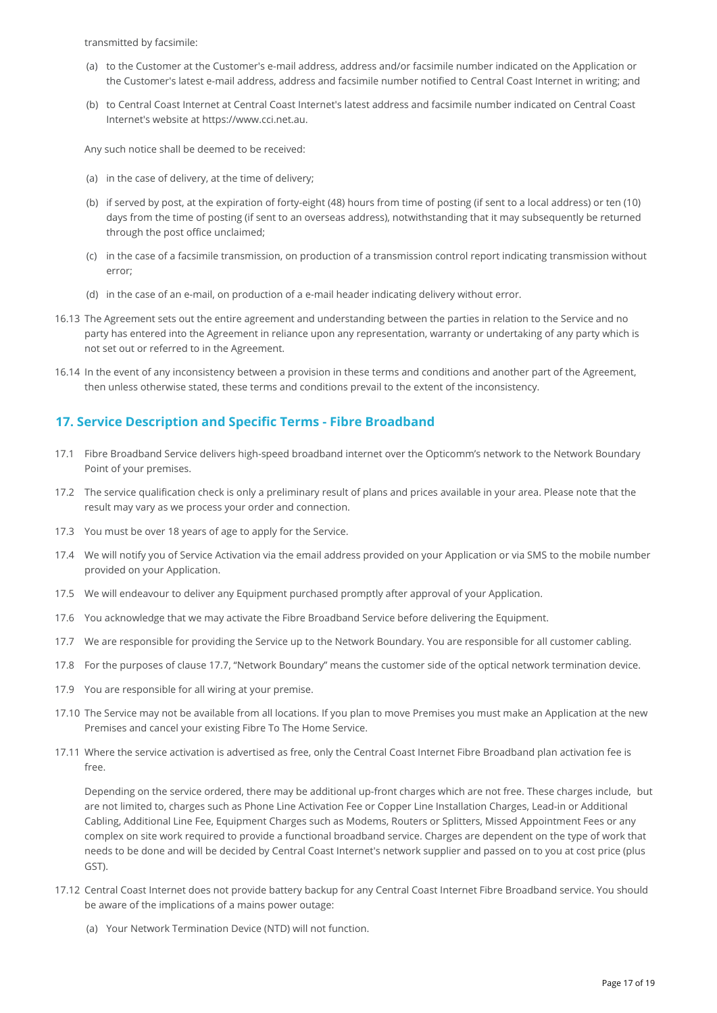transmitted by facsimile:

- (a) to the Customer at the Customer's e-mail address, address and/or facsimile number indicated on the Application or the Customer's latest e-mail address, address and facsimile number notified to Central Coast Internet in writing; and
- (b) to Central Coast Internet at Central Coast Internet's latest address and facsimile number indicated on Central Coast Internet's website at https://www.cci.net.au.

Any such notice shall be deemed to be received:

- (a) in the case of delivery, at the time of delivery;
- (b) if served by post, at the expiration of forty-eight (48) hours from time of posting (if sent to a local address) or ten (10) days from the time of posting (if sent to an overseas address), notwithstanding that it may subsequently be returned through the post office unclaimed;
- in the case of a facsimile transmission, on production of a transmission control report indicating transmission without (c) error;
- (d) in the case of an e-mail, on production of a e-mail header indicating delivery without error.
- 16.13 The Agreement sets out the entire agreement and understanding between the parties in relation to the Service and no party has entered into the Agreement in reliance upon any representation, warranty or undertaking of any party which is not set out or referred to in the Agreement.
- 16.14 In the event of any inconsistency between a provision in these terms and conditions and another part of the Agreement, then unless otherwise stated, these terms and conditions prevail to the extent of the inconsistency.

### **17. Service Description and Specific Terms - Fibre Broadband**

- 17.1 Fibre Broadband Service delivers high-speed broadband internet over the Opticomm's network to the Network Boundary Point of your premises.
- 17.2 The service qualification check is only a preliminary result of plans and prices available in your area. Please note that the result may vary as we process your order and connection.
- 17.3 You must be over 18 years of age to apply for the Service.
- 17.4 We will notify you of Service Activation via the email address provided on your Application or via SMS to the mobile number provided on your Application.
- 17.5 We will endeavour to deliver any Equipment purchased promptly after approval of your Application.
- 17.6 You acknowledge that we may activate the Fibre Broadband Service before delivering the Equipment.
- 17.7 We are responsible for providing the Service up to the Network Boundary. You are responsible for all customer cabling.
- 17.8 For the purposes of clause 17.7, "Network Boundary" means the customer side of the optical network termination device.
- 17.9 You are responsible for all wiring at your premise.
- 17.10 The Service may not be available from all locations. If you plan to move Premises you must make an Application at the new Premises and cancel your existing Fibre To The Home Service.
- 17.11 Where the service activation is advertised as free, only the Central Coast Internet Fibre Broadband plan activation fee is free.

Depending on the service ordered, there may be additional up-front charges which are not free. These charges include, but are not limited to, charges such as Phone Line Activation Fee or Copper Line Installation Charges, Lead-in or Additional Cabling, Additional Line Fee, Equipment Charges such as Modems, Routers or Splitters, Missed Appointment Fees or any complex on site work required to provide a functional broadband service. Charges are dependent on the type of work that needs to be done and will be decided by Central Coast Internet's network supplier and passed on to you at cost price (plus GST).

- 17.12 Central Coast Internet does not provide battery backup for any Central Coast Internet Fibre Broadband service. You should be aware of the implications of a mains power outage:
	- (a) Your Network Termination Device (NTD) will not function.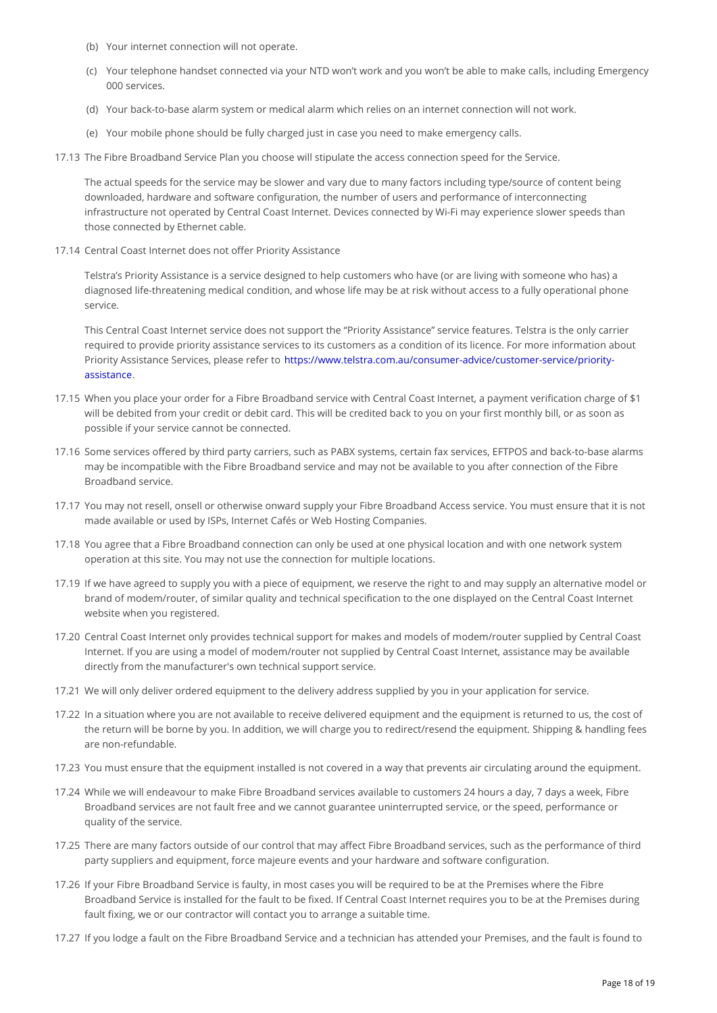(b)Your internet connection will not operate.

- (c) Your telephone handset connected via your NTD won t work and you won t be able to m 000 services.
- (d)Your back-to-base alarm system or medical alarm which relies on an internet connection
- (e)Your mobile phone should be fully charged just in case you need to make emergency calls.
- 17.13he Fibre Broadband Service Plan you choose will stipulate the access connection speed

The actual speeds for the service may be slower and vary due to many factors including t downloaded, hardware and software configuration, the number of users and performance of infrastructure not operated by Central Coast Internet. Devices connected by Wi-Fi may ex those connected by Ethernet cable.

17.1Central Coast Internet does not offer Priority Assistance

Telstra s Priority Assistance is a service designed to help customers who have (or are liv diagnosed life-threatening medical condition, and whose life may be at risk without acces service.

This Central Coast Internet service does not support the Priority Assistance service fea required to provide priority assistance services to its customers as a condition of its lice Priority Assistance Services, http://www.teletstra.com.au/consumer-advice/customer-service [assista](https://www.telstra.com.au/consumer-advice/customer-service/priority-assistance)nce .

- 17.15 When you place your order for a Fibre Broadband service with Central Coast Internet, a p will be debited from your credit or debit card. This will be credited back to you on your f possible if your service cannot be connected.
- 17.16ome services offered by third party carriers, such as PABX systems, certain fax services may be incompatible with the Fibre Broadband service and may not be available to you af Broadband service.
- 17.1You may not resell, onsell or otherwise onward supply your Fibre Broadband Access servi made available or used by ISPs, Internet Cafés or Web Hosting Companies.
- 17.18 ou agree that a Fibre Broadband connection can only be used at one physical location a operation at this site. You may not use the connection for multiple locations.
- 17.19 f we have agreed to supply you with a piece of equipment, we reserve the right to and mo brand of modem/router, of similar quality and technical specification to the one displayed website when you registered.
- 17.20 entral Coast Internet only provides technical support for makes and models of modem/ro Internet. If you are using a model of modem/router not supplied by Central Coast Internet directly from the manufacturer's own technical support service.
- 17.2We will only deliver ordered equipment to the delivery address supplied by you in your ap
- 17.2 Pn a situation where you are not available to receive delivered equipment and the equipment the return will be borne by you. In addition, we will charge you to redirect/resend the equ are non-refundable.
- 17.23 ou must ensure that the equipment installed is not covered in a way that prevents air ci
- 17.2While we will endeavour to make Fibre Broadband services available to customers 24 hou Broadband services are not fault free and we cannot guarantee uninterrupted service, or quality of the service.
- 17.25 here are many factors outside of our control that may affect Fibre Broadband services, s party suppliers and equipment, force majeure events and your hardware and software con
- 17.26f your Fibre Broadband Service is faulty, in most cases you will be required to be at the Broadband Service is installed for the fault to be fixed. If Central Coast Internet requires fault fixing, we or our contractor will contact you to arrange a suitable time.
- 17.27 You lodge a fault on the Fibre Broadband Service and a technician has attended your P